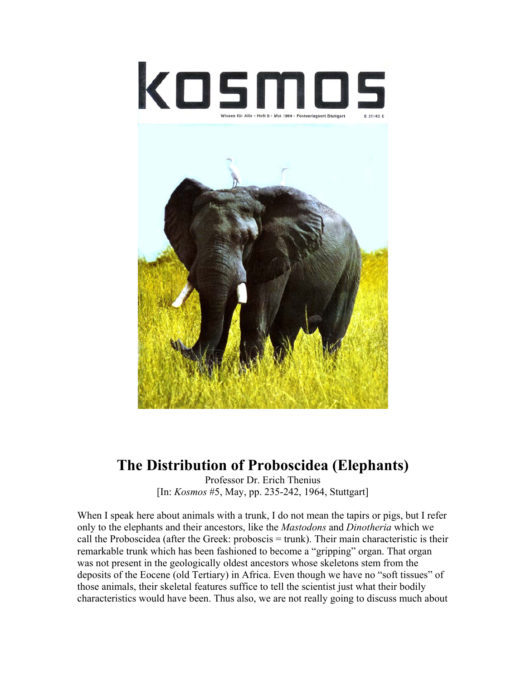

## **The Distribution of Proboscidea (Elephants)**

Professor Dr. Erich Thenius [In: *Kosmos* #5, May, pp. 235-242, 1964, Stuttgart]

When I speak here about animals with a trunk, I do not mean the tapirs or pigs, but I refer only to the elephants and their ancestors, like the *Mastodons* and *Dinotheria* which we call the Proboscidea (after the Greek: proboscis = trunk). Their main characteristic is their remarkable trunk which has been fashioned to become a "gripping" organ. That organ was not present in the geologically oldest ancestors whose skeletons stem from the deposits of the Eocene (old Tertiary) in Africa. Even though we have no "soft tissues" of those animals, their skeletal features suffice to tell the scientist just what their bodily characteristics would have been. Thus also, we are not really going to discuss much about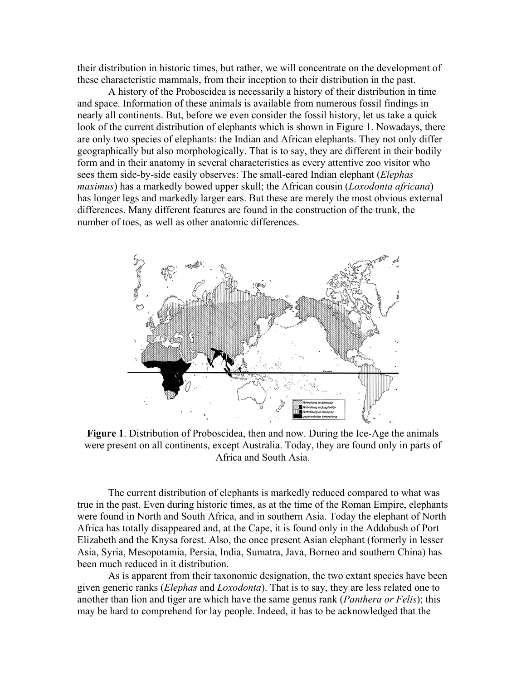their distribution in historic times, but rather, we will concentrate on the development of these characteristic mammals, from their inception to their distribution in the past.

 A history of the Proboscidea is necessarily a history of their distribution in time and space. Information of these animals is available from numerous fossil findings in nearly all continents. But, before we even consider the fossil history, let us take a quick look of the current distribution of elephants which is shown in Figure 1. Nowadays, there are only two species of elephants: the Indian and African elephants. They not only differ geographically but also morphologically. That is to say, they are different in their bodily form and in their anatomy in several characteristics as every attentive zoo visitor who sees them side-by-side easily observes: The small-eared Indian elephant (*Elephas maximus*) has a markedly bowed upper skull; the African cousin (*Loxodonta africana*) has longer legs and markedly larger ears. But these are merely the most obvious external differences. Many different features are found in the construction of the trunk, the number of toes, as well as other anatomic differences.



**Figure 1**. Distribution of Proboscidea, then and now. During the Ice-Age the animals were present on all continents, except Australia. Today, they are found only in parts of Africa and South Asia.

 The current distribution of elephants is markedly reduced compared to what was true in the past. Even during historic times, as at the time of the Roman Empire, elephants were found in North and South Africa, and in southern Asia. Today the elephant of North Africa has totally disappeared and, at the Cape, it is found only in the Addobush of Port Elizabeth and the Knysa forest. Also, the once present Asian elephant (formerly in lesser Asia, Syria, Mesopotamia, Persia, India, Sumatra, Java, Borneo and southern China) has been much reduced in it distribution.

 As is apparent from their taxonomic designation, the two extant species have been given generic ranks (*Elephas* and *Loxodonta*). That is to say, they are less related one to another than lion and tiger are which have the same genus rank (*Panthera or Felis*); this may be hard to comprehend for lay people. Indeed, it has to be acknowledged that the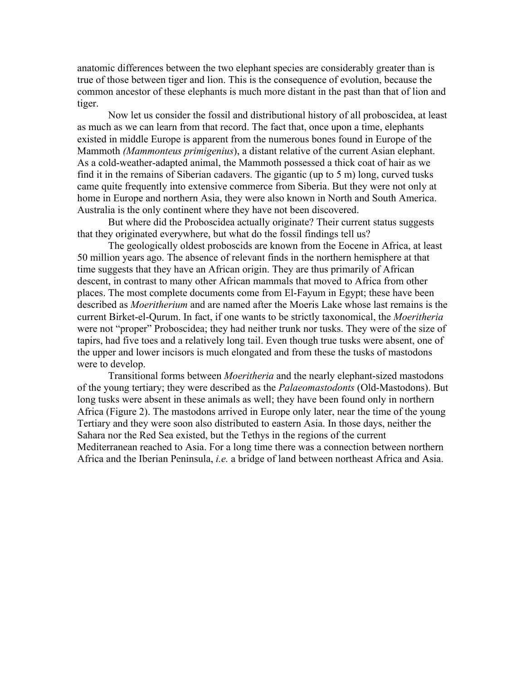anatomic differences between the two elephant species are considerably greater than is true of those between tiger and lion. This is the consequence of evolution, because the common ancestor of these elephants is much more distant in the past than that of lion and tiger.

 Now let us consider the fossil and distributional history of all proboscidea, at least as much as we can learn from that record. The fact that, once upon a time, elephants existed in middle Europe is apparent from the numerous bones found in Europe of the Mammoth *(Mammonteus primigenius*), a distant relative of the current Asian elephant. As a cold-weather-adapted animal, the Mammoth possessed a thick coat of hair as we find it in the remains of Siberian cadavers. The gigantic (up to 5 m) long, curved tusks came quite frequently into extensive commerce from Siberia. But they were not only at home in Europe and northern Asia, they were also known in North and South America. Australia is the only continent where they have not been discovered.

 But where did the Proboscidea actually originate? Their current status suggests that they originated everywhere, but what do the fossil findings tell us?

 The geologically oldest proboscids are known from the Eocene in Africa, at least 50 million years ago. The absence of relevant finds in the northern hemisphere at that time suggests that they have an African origin. They are thus primarily of African descent, in contrast to many other African mammals that moved to Africa from other places. The most complete documents come from El-Fayum in Egypt; these have been described as *Moeritherium* and are named after the Moeris Lake whose last remains is the current Birket-el-Qurum. In fact, if one wants to be strictly taxonomical, the *Moeritheria* were not "proper" Proboscidea; they had neither trunk nor tusks. They were of the size of tapirs, had five toes and a relatively long tail. Even though true tusks were absent, one of the upper and lower incisors is much elongated and from these the tusks of mastodons were to develop.

 Transitional forms between *Moeritheria* and the nearly elephant-sized mastodons of the young tertiary; they were described as the *Palaeomastodonts* (Old-Mastodons). But long tusks were absent in these animals as well; they have been found only in northern Africa (Figure 2). The mastodons arrived in Europe only later, near the time of the young Tertiary and they were soon also distributed to eastern Asia. In those days, neither the Sahara nor the Red Sea existed, but the Tethys in the regions of the current Mediterranean reached to Asia. For a long time there was a connection between northern Africa and the Iberian Peninsula, *i.e.* a bridge of land between northeast Africa and Asia.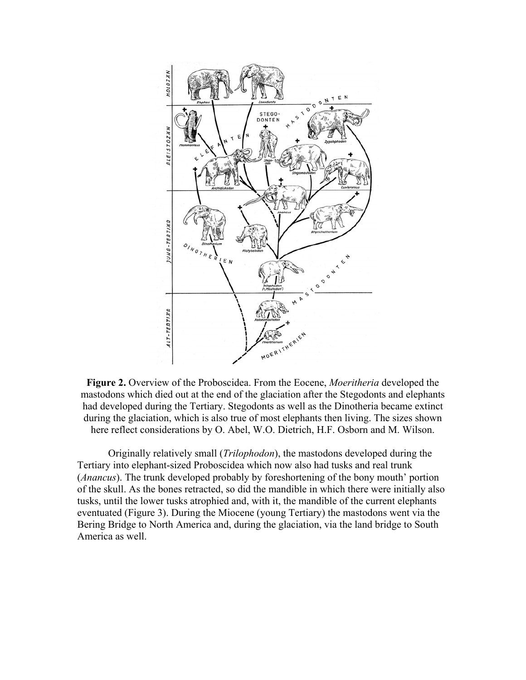

**Figure 2.** Overview of the Proboscidea. From the Eocene, *Moeritheria* developed the mastodons which died out at the end of the glaciation after the Stegodonts and elephants had developed during the Tertiary. Stegodonts as well as the Dinotheria became extinct during the glaciation, which is also true of most elephants then living. The sizes shown here reflect considerations by O. Abel, W.O. Dietrich, H.F. Osborn and M. Wilson.

 Originally relatively small (*Trilophodon*), the mastodons developed during the Tertiary into elephant-sized Proboscidea which now also had tusks and real trunk (*Anancus*). The trunk developed probably by foreshortening of the bony mouth' portion of the skull. As the bones retracted, so did the mandible in which there were initially also tusks, until the lower tusks atrophied and, with it, the mandible of the current elephants eventuated (Figure 3). During the Miocene (young Tertiary) the mastodons went via the Bering Bridge to North America and, during the glaciation, via the land bridge to South America as well.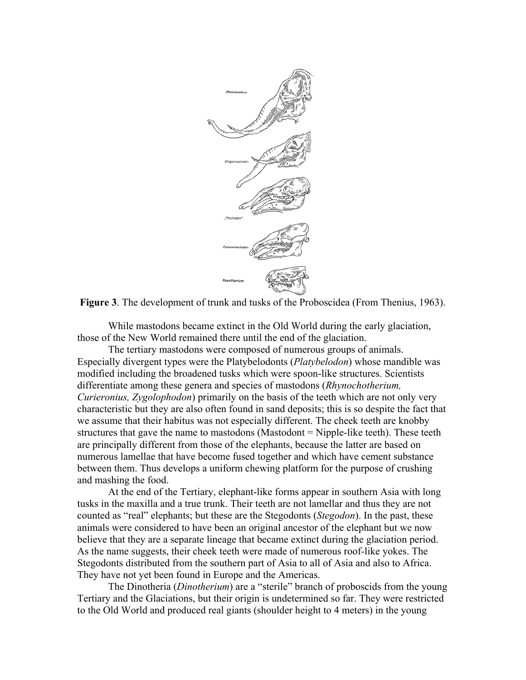



 While mastodons became extinct in the Old World during the early glaciation, those of the New World remained there until the end of the glaciation.

 The tertiary mastodons were composed of numerous groups of animals. Especially divergent types were the Platybelodonts (*Platybelodon*) whose mandible was modified including the broadened tusks which were spoon-like structures. Scientists differentiate among these genera and species of mastodons (*Rhynochotherium, Curieronius, Zygolophodon*) primarily on the basis of the teeth which are not only very characteristic but they are also often found in sand deposits; this is so despite the fact that we assume that their habitus was not especially different. The cheek teeth are knobby structures that gave the name to mastodons (Mastodont = Nipple-like teeth). These teeth are principally different from those of the elephants, because the latter are based on numerous lamellae that have become fused together and which have cement substance between them. Thus develops a uniform chewing platform for the purpose of crushing and mashing the food.

 At the end of the Tertiary, elephant-like forms appear in southern Asia with long tusks in the maxilla and a true trunk. Their teeth are not lamellar and thus they are not counted as "real" elephants; but these are the Stegodonts (*Stegodon*). In the past, these animals were considered to have been an original ancestor of the elephant but we now believe that they are a separate lineage that became extinct during the glaciation period. As the name suggests, their cheek teeth were made of numerous roof-like yokes. The Stegodonts distributed from the southern part of Asia to all of Asia and also to Africa. They have not yet been found in Europe and the Americas.

 The Dinotheria (*Dinotherium*) are a "sterile" branch of proboscids from the young Tertiary and the Glaciations, but their origin is undetermined so far. They were restricted to the Old World and produced real giants (shoulder height to 4 meters) in the young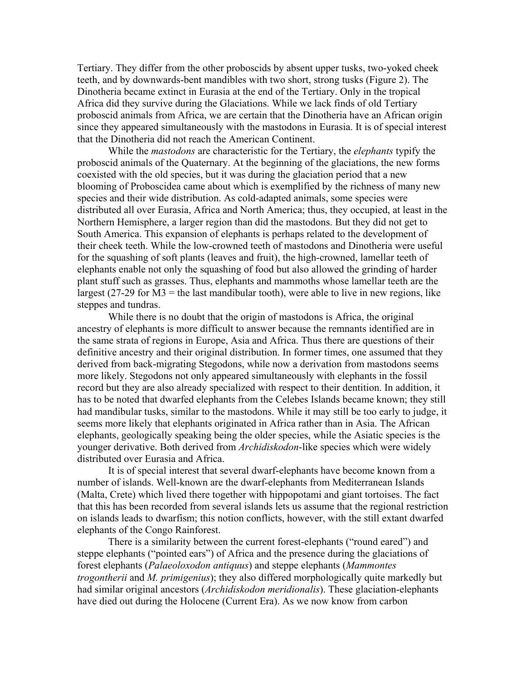Tertiary. They differ from the other proboscids by absent upper tusks, two-yoked cheek teeth, and by downwards-bent mandibles with two short, strong tusks (Figure 2). The Dinotheria became extinct in Eurasia at the end of the Tertiary. Only in the tropical Africa did they survive during the Glaciations. While we lack finds of old Tertiary proboscid animals from Africa, we are certain that the Dinotheria have an African origin since they appeared simultaneously with the mastodons in Eurasia. It is of special interest that the Dinotheria did not reach the American Continent.

 While the *mastodons* are characteristic for the Tertiary, the *elephants* typify the proboscid animals of the Quaternary. At the beginning of the glaciations, the new forms coexisted with the old species, but it was during the glaciation period that a new blooming of Proboscidea came about which is exemplified by the richness of many new species and their wide distribution. As cold-adapted animals, some species were distributed all over Eurasia, Africa and North America; thus, they occupied, at least in the Northern Hemisphere, a larger region than did the mastodons. But they did not get to South America. This expansion of elephants is perhaps related to the development of their cheek teeth. While the low-crowned teeth of mastodons and Dinotheria were useful for the squashing of soft plants (leaves and fruit), the high-crowned, lamellar teeth of elephants enable not only the squashing of food but also allowed the grinding of harder plant stuff such as grasses. Thus, elephants and mammoths whose lamellar teeth are the largest (27-29 for  $M3$  = the last mandibular tooth), were able to live in new regions, like steppes and tundras.

 While there is no doubt that the origin of mastodons is Africa, the original ancestry of elephants is more difficult to answer because the remnants identified are in the same strata of regions in Europe, Asia and Africa. Thus there are questions of their definitive ancestry and their original distribution. In former times, one assumed that they derived from back-migrating Stegodons, while now a derivation from mastodons seems more likely. Stegodons not only appeared simultaneously with elephants in the fossil record but they are also already specialized with respect to their dentition. In addition, it has to be noted that dwarfed elephants from the Celebes Islands became known; they still had mandibular tusks, similar to the mastodons. While it may still be too early to judge, it seems more likely that elephants originated in Africa rather than in Asia. The African elephants, geologically speaking being the older species, while the Asiatic species is the younger derivative. Both derived from *Archidiskodon*-like species which were widely distributed over Eurasia and Africa.

 It is of special interest that several dwarf-elephants have become known from a number of islands. Well-known are the dwarf-elephants from Mediterranean Islands (Malta, Crete) which lived there together with hippopotami and giant tortoises. The fact that this has been recorded from several islands lets us assume that the regional restriction on islands leads to dwarfism; this notion conflicts, however, with the still extant dwarfed elephants of the Congo Rainforest.

 There is a similarity between the current forest-elephants ("round eared") and steppe elephants ("pointed ears") of Africa and the presence during the glaciations of forest elephants (*Palaeoloxodon antiquus*) and steppe elephants (*Mammontes trogontherii* and *M. primigenius*); they also differed morphologically quite markedly but had similar original ancestors (*Archidiskodon meridionalis*). These glaciation-elephants have died out during the Holocene (Current Era). As we now know from carbon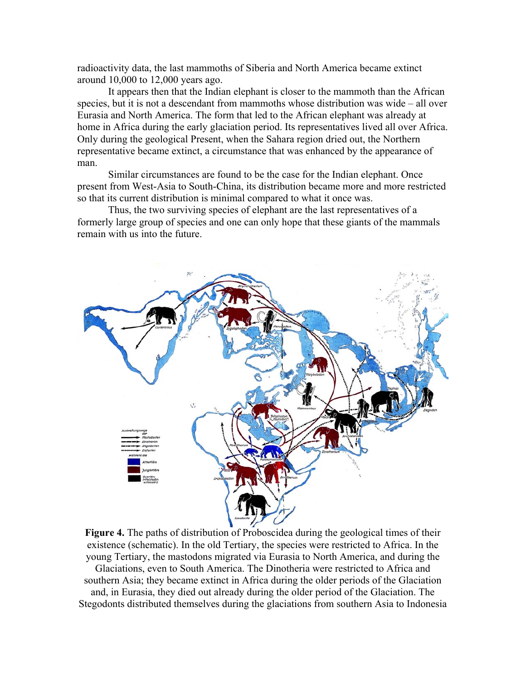radioactivity data, the last mammoths of Siberia and North America became extinct around 10,000 to 12,000 years ago.

 It appears then that the Indian elephant is closer to the mammoth than the African species, but it is not a descendant from mammoths whose distribution was wide – all over Eurasia and North America. The form that led to the African elephant was already at home in Africa during the early glaciation period. Its representatives lived all over Africa. Only during the geological Present, when the Sahara region dried out, the Northern representative became extinct, a circumstance that was enhanced by the appearance of man.

 Similar circumstances are found to be the case for the Indian elephant. Once present from West-Asia to South-China, its distribution became more and more restricted so that its current distribution is minimal compared to what it once was.

 Thus, the two surviving species of elephant are the last representatives of a formerly large group of species and one can only hope that these giants of the mammals remain with us into the future.



**Figure 4.** The paths of distribution of Proboscidea during the geological times of their existence (schematic). In the old Tertiary, the species were restricted to Africa. In the young Tertiary, the mastodons migrated via Eurasia to North America, and during the Glaciations, even to South America. The Dinotheria were restricted to Africa and southern Asia; they became extinct in Africa during the older periods of the Glaciation and, in Eurasia, they died out already during the older period of the Glaciation. The Stegodonts distributed themselves during the glaciations from southern Asia to Indonesia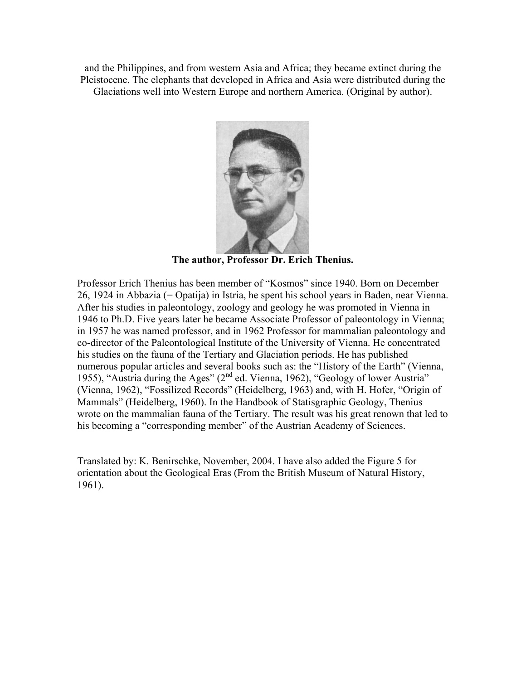and the Philippines, and from western Asia and Africa; they became extinct during the Pleistocene. The elephants that developed in Africa and Asia were distributed during the Glaciations well into Western Europe and northern America. (Original by author).



**The author, Professor Dr. Erich Thenius.** 

Professor Erich Thenius has been member of "Kosmos" since 1940. Born on December 26, 1924 in Abbazia (= Opatija) in Istria, he spent his school years in Baden, near Vienna. After his studies in paleontology, zoology and geology he was promoted in Vienna in 1946 to Ph.D. Five years later he became Associate Professor of paleontology in Vienna; in 1957 he was named professor, and in 1962 Professor for mammalian paleontology and co-director of the Paleontological Institute of the University of Vienna. He concentrated his studies on the fauna of the Tertiary and Glaciation periods. He has published numerous popular articles and several books such as: the "History of the Earth" (Vienna, 1955), "Austria during the Ages" (2<sup>nd</sup> ed. Vienna, 1962), "Geology of lower Austria" (Vienna, 1962), "Fossilized Records" (Heidelberg, 1963) and, with H. Hofer, "Origin of Mammals" (Heidelberg, 1960). In the Handbook of Statisgraphic Geology, Thenius wrote on the mammalian fauna of the Tertiary. The result was his great renown that led to his becoming a "corresponding member" of the Austrian Academy of Sciences.

Translated by: K. Benirschke, November, 2004. I have also added the Figure 5 for orientation about the Geological Eras (From the British Museum of Natural History, 1961).